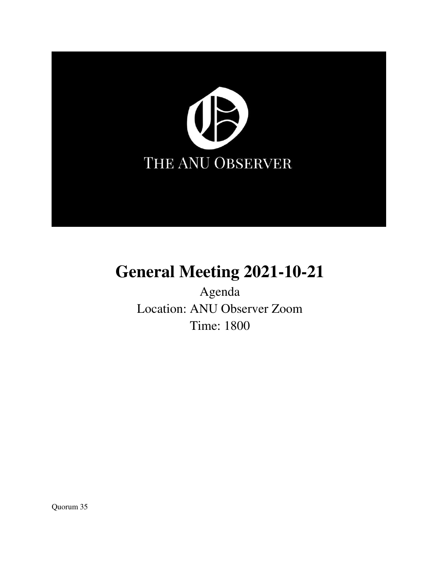

# **General Meeting 2021-10-21**

Agenda Location: ANU Observer Zoom Time: 1800

Quorum 35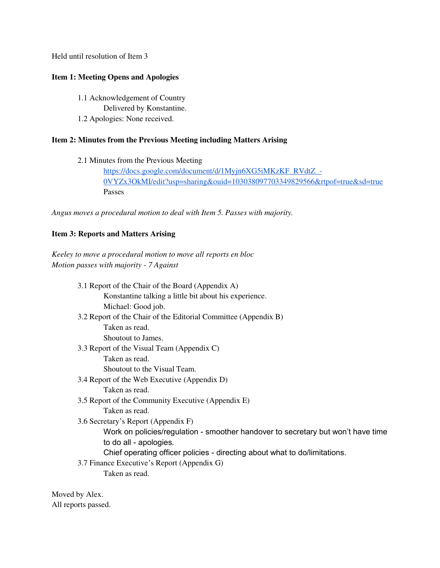Held until resolution of Item 3

# **Item 1: Meeting Opens and Apologies**

 1.1 Acknowledgement of Country Delivered by Konstantine. 1.2 Apologies: None received.

# **Item 2: Minutes from the Previous Meeting including Matters Arising**

2.1 Minutes from the Previous Meeting

[https://docs.google.com/document/d/1Myjn6XG5iMKzKF\\_RVdtZ\\_-](https://docs.google.com/document/d/1Myjn6XG5iMKzKF_RVdtZ_-0VYZx3OkMI/edit?usp=sharing&ouid=103038097703349829566&rtpof=true&sd=true) [0VYZx3OkMI/edit?usp=sharing&ouid=103038097703349829566&rtpof=true&sd=true](https://docs.google.com/document/d/1Myjn6XG5iMKzKF_RVdtZ_-0VYZx3OkMI/edit?usp=sharing&ouid=103038097703349829566&rtpof=true&sd=true) Passes

*Angus moves a procedural motion to deal with Item 5. Passes with majority.* 

# **Item 3: Reports and Matters Arising**

*Keeley to move a procedural motion to move all reports en bloc Motion passes with majority - 7 Against*

| 3.1 Report of the Chair of the Board (Appendix A)                                |  |
|----------------------------------------------------------------------------------|--|
| Konstantine talking a little bit about his experience.                           |  |
| Michael: Good job.                                                               |  |
| 3.2 Report of the Chair of the Editorial Committee (Appendix B)                  |  |
| Taken as read.                                                                   |  |
| Shoutout to James.                                                               |  |
| 3.3 Report of the Visual Team (Appendix C)                                       |  |
| Taken as read.                                                                   |  |
| Shoutout to the Visual Team.                                                     |  |
| 3.4 Report of the Web Executive (Appendix D)                                     |  |
| Taken as read.                                                                   |  |
| 3.5 Report of the Community Executive (Appendix E)                               |  |
| Taken as read.                                                                   |  |
| 3.6 Secretary's Report (Appendix F)                                              |  |
| Work on policies/regulation - smoother handover to secretary but won't have time |  |
| to do all - apologies.                                                           |  |
| Chief operating officer policies - directing about what to do/limitations.       |  |
| 3.7 Finance Executive's Report (Appendix G)                                      |  |
| Taken as read.                                                                   |  |

Moved by Alex. All reports passed.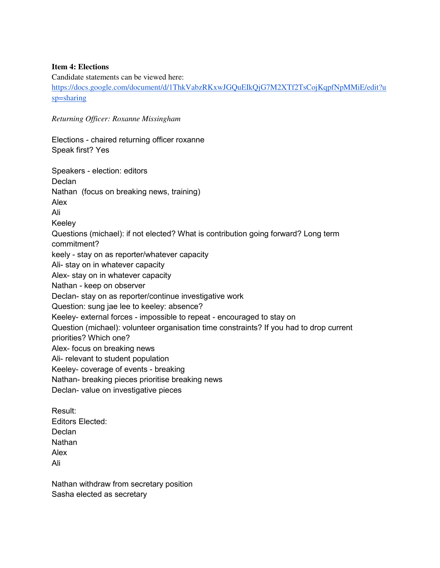## **Item 4: Elections**

Candidate statements can be viewed here:

[https://docs.google.com/document/d/1ThkVabzRKxwJGQuEIkQjG7M2XTf2TsCojKqpfNpMMiE/edit?u](https://docs.google.com/document/d/1ThkVabzRKxwJGQuEIkQjG7M2XTf2TsCojKqpfNpMMiE/edit?usp=sharing) [sp=sharing](https://docs.google.com/document/d/1ThkVabzRKxwJGQuEIkQjG7M2XTf2TsCojKqpfNpMMiE/edit?usp=sharing)

*Returning Officer: Roxanne Missingham*

Elections - chaired returning officer roxanne Speak first? Yes

Speakers - election: editors **Declan** Nathan (focus on breaking news, training) Alex Ali Keeley Questions (michael): if not elected? What is contribution going forward? Long term commitment? keely - stay on as reporter/whatever capacity Ali- stay on in whatever capacity Alex- stay on in whatever capacity Nathan - keep on observer Declan- stay on as reporter/continue investigative work Question: sung jae lee to keeley: absence? Keeley- external forces - impossible to repeat - encouraged to stay on Question (michael): volunteer organisation time constraints? If you had to drop current priorities? Which one? Alex- focus on breaking news Ali- relevant to student population Keeley- coverage of events - breaking Nathan- breaking pieces prioritise breaking news Declan- value on investigative pieces Result: Editors Elected: Declan

**Nathan** Alex

Ali

Nathan withdraw from secretary position Sasha elected as secretary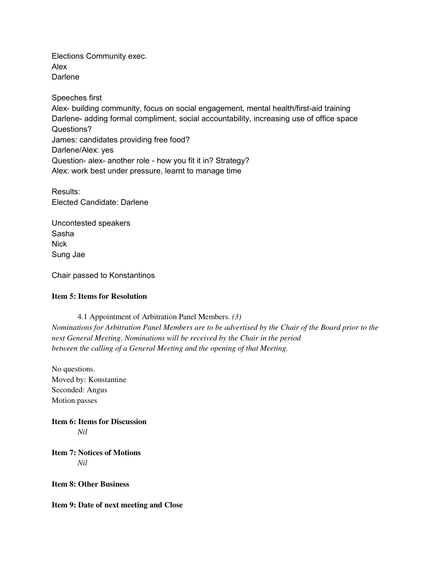Elections Community exec. Alex **Darlene** 

Speeches first Alex- building community, focus on social engagement, mental health/first-aid training Darlene- adding formal compliment, social accountability, increasing use of office space Questions? James: candidates providing free food? Darlene/Alex: yes Question- alex- another role - how you fit it in? Strategy? Alex: work best under pressure, learnt to manage time

Results: Elected Candidate: Darlene

Uncontested speakers Sasha **Nick** Sung Jae

Chair passed to Konstantinos

## **Item 5: Items for Resolution**

 4.1 Appointment of Arbitration Panel Members. *(3) Nominations for Arbitration Panel Members are to be advertised by the Chair of the Board prior to the next General Meeting. Nominations will be received by the Chair in the period between the calling of a General Meeting and the opening of that Meeting.* 

No questions. Moved by: Konstantine Seconded: Angus Motion passes

**Item 6: Items for Discussion**  *Nil* 

**Item 7: Notices of Motions**  *Nil* 

**Item 8: Other Business** 

**Item 9: Date of next meeting and Close**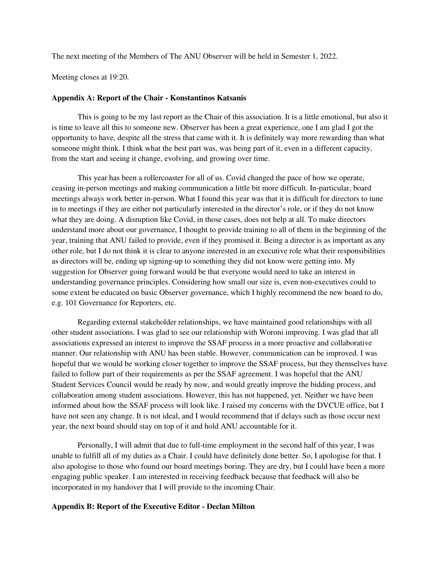The next meeting of the Members of The ANU Observer will be held in Semester 1, 2022.

Meeting closes at 19:20.

#### **Appendix A: Report of the Chair - Konstantinos Katsanis**

This is going to be my last report as the Chair of this association. It is a little emotional, but also it is time to leave all this to someone new. Observer has been a great experience, one I am glad I got the opportunity to have, despite all the stress that came with it. It is definitely way more rewarding than what someone might think. I think what the best part was, was being part of it, even in a different capacity, from the start and seeing it change, evolving, and growing over time.

This year has been a rollercoaster for all of us. Covid changed the pace of how we operate, ceasing in-person meetings and making communication a little bit more difficult. In-particular, board meetings always work better in-person. What I found this year was that it is difficult for directors to tune in to meetings if they are either not particularly interested in the director's role, or if they do not know what they are doing. A disruption like Covid, in those cases, does not help at all. To make directors understand more about our governance, I thought to provide training to all of them in the beginning of the year, training that ANU failed to provide, even if they promised it. Being a director is as important as any other role, but I do not think it is clear to anyone interested in an executive role what their responsibilities as directors will be, ending up signing-up to something they did not know were getting into. My suggestion for Observer going forward would be that everyone would need to take an interest in understanding governance principles. Considering how small our size is, even non-executives could to some extent be educated on basic Observer governance, which I highly recommend the new board to do, e.g. 101 Governance for Reporters, etc.

Regarding external stakeholder relationships, we have maintained good relationships with all other student associations. I was glad to see our relationship with Woroni improving. I was glad that all associations expressed an interest to improve the SSAF process in a more proactive and collaborative manner. Our relationship with ANU has been stable. However, communication can be improved. I was hopeful that we would be working closer together to improve the SSAF process, but they themselves have failed to follow part of their requirements as per the SSAF agreement. I was hopeful that the ANU Student Services Council would be ready by now, and would greatly improve the bidding process, and collaboration among student associations. However, this has not happened, yet. Neither we have been informed about how the SSAF process will look like. I raised my concerns with the DVCUE office, but I have not seen any change. It is not ideal, and I would recommend that if delays such as those occur next year, the next board should stay on top of it and hold ANU accountable for it.

Personally, I will admit that due to full-time employment in the second half of this year, I was unable to fulfill all of my duties as a Chair. I could have definitely done better. So, I apologise for that. I also apologise to those who found our board meetings boring. They are dry, but I could have been a more engaging public speaker. I am interested in receiving feedback because that feedback will also be incorporated in my handover that I will provide to the incoming Chair.

#### **Appendix B: Report of the Executive Editor - Declan Milton**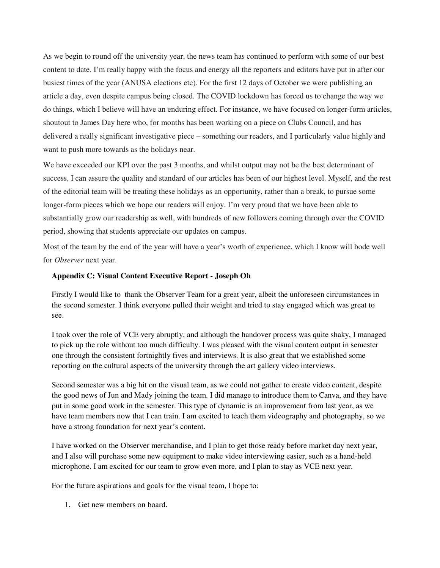As we begin to round off the university year, the news team has continued to perform with some of our best content to date. I'm really happy with the focus and energy all the reporters and editors have put in after our busiest times of the year (ANUSA elections etc). For the first 12 days of October we were publishing an article a day, even despite campus being closed. The COVID lockdown has forced us to change the way we do things, which I believe will have an enduring effect. For instance, we have focused on longer-form articles, shoutout to James Day here who, for months has been working on a piece on Clubs Council, and has delivered a really significant investigative piece – something our readers, and I particularly value highly and want to push more towards as the holidays near.

We have exceeded our KPI over the past 3 months, and whilst output may not be the best determinant of success, I can assure the quality and standard of our articles has been of our highest level. Myself, and the rest of the editorial team will be treating these holidays as an opportunity, rather than a break, to pursue some longer-form pieces which we hope our readers will enjoy. I'm very proud that we have been able to substantially grow our readership as well, with hundreds of new followers coming through over the COVID period, showing that students appreciate our updates on campus.

Most of the team by the end of the year will have a year's worth of experience, which I know will bode well for *Observer* next year.

## **Appendix C: Visual Content Executive Report - Joseph Oh**

Firstly I would like to thank the Observer Team for a great year, albeit the unforeseen circumstances in the second semester. I think everyone pulled their weight and tried to stay engaged which was great to see.

I took over the role of VCE very abruptly, and although the handover process was quite shaky, I managed to pick up the role without too much difficulty. I was pleased with the visual content output in semester one through the consistent fortnightly fives and interviews. It is also great that we established some reporting on the cultural aspects of the university through the art gallery video interviews.

Second semester was a big hit on the visual team, as we could not gather to create video content, despite the good news of Jun and Mady joining the team. I did manage to introduce them to Canva, and they have put in some good work in the semester. This type of dynamic is an improvement from last year, as we have team members now that I can train. I am excited to teach them videography and photography, so we have a strong foundation for next year's content.

I have worked on the Observer merchandise, and I plan to get those ready before market day next year, and I also will purchase some new equipment to make video interviewing easier, such as a hand-held microphone. I am excited for our team to grow even more, and I plan to stay as VCE next year.

For the future aspirations and goals for the visual team, I hope to:

1. Get new members on board.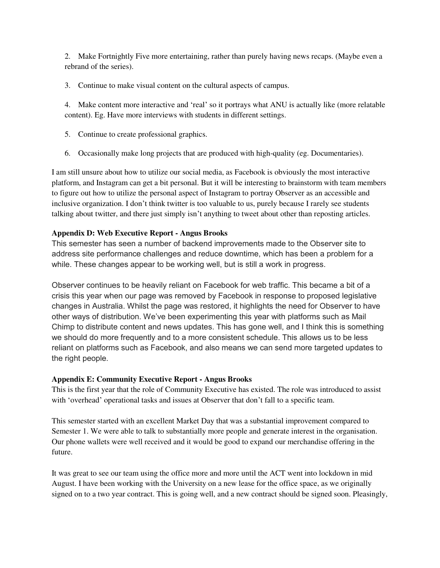2. Make Fortnightly Five more entertaining, rather than purely having news recaps. (Maybe even a rebrand of the series).

3. Continue to make visual content on the cultural aspects of campus.

4. Make content more interactive and 'real' so it portrays what ANU is actually like (more relatable content). Eg. Have more interviews with students in different settings.

- 5. Continue to create professional graphics.
- 6. Occasionally make long projects that are produced with high-quality (eg. Documentaries).

I am still unsure about how to utilize our social media, as Facebook is obviously the most interactive platform, and Instagram can get a bit personal. But it will be interesting to brainstorm with team members to figure out how to utilize the personal aspect of Instagram to portray Observer as an accessible and inclusive organization. I don't think twitter is too valuable to us, purely because I rarely see students talking about twitter, and there just simply isn't anything to tweet about other than reposting articles.

# **Appendix D: Web Executive Report - Angus Brooks**

This semester has seen a number of backend improvements made to the Observer site to address site performance challenges and reduce downtime, which has been a problem for a while. These changes appear to be working well, but is still a work in progress.

Observer continues to be heavily reliant on Facebook for web traffic. This became a bit of a crisis this year when our page was removed by Facebook in response to proposed legislative changes in Australia. Whilst the page was restored, it highlights the need for Observer to have other ways of distribution. We've been experimenting this year with platforms such as Mail Chimp to distribute content and news updates. This has gone well, and I think this is something we should do more frequently and to a more consistent schedule. This allows us to be less reliant on platforms such as Facebook, and also means we can send more targeted updates to the right people.

# **Appendix E: Community Executive Report - Angus Brooks**

This is the first year that the role of Community Executive has existed. The role was introduced to assist with 'overhead' operational tasks and issues at Observer that don't fall to a specific team.

This semester started with an excellent Market Day that was a substantial improvement compared to Semester 1. We were able to talk to substantially more people and generate interest in the organisation. Our phone wallets were well received and it would be good to expand our merchandise offering in the future.

It was great to see our team using the office more and more until the ACT went into lockdown in mid August. I have been working with the University on a new lease for the office space, as we originally signed on to a two year contract. This is going well, and a new contract should be signed soon. Pleasingly,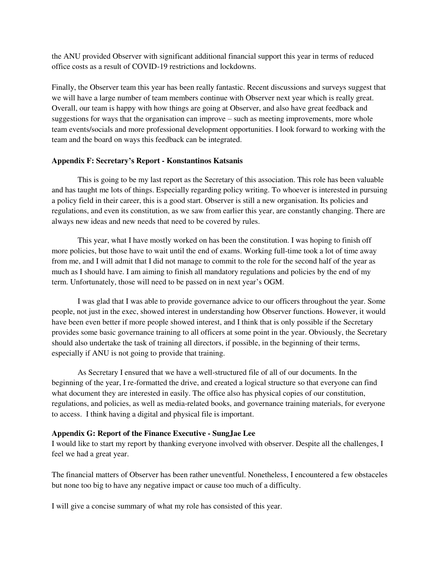the ANU provided Observer with significant additional financial support this year in terms of reduced office costs as a result of COVID-19 restrictions and lockdowns.

Finally, the Observer team this year has been really fantastic. Recent discussions and surveys suggest that we will have a large number of team members continue with Observer next year which is really great. Overall, our team is happy with how things are going at Observer, and also have great feedback and suggestions for ways that the organisation can improve – such as meeting improvements, more whole team events/socials and more professional development opportunities. I look forward to working with the team and the board on ways this feedback can be integrated.

### **Appendix F: Secretary's Report - Konstantinos Katsanis**

This is going to be my last report as the Secretary of this association. This role has been valuable and has taught me lots of things. Especially regarding policy writing. To whoever is interested in pursuing a policy field in their career, this is a good start. Observer is still a new organisation. Its policies and regulations, and even its constitution, as we saw from earlier this year, are constantly changing. There are always new ideas and new needs that need to be covered by rules.

This year, what I have mostly worked on has been the constitution. I was hoping to finish off more policies, but those have to wait until the end of exams. Working full-time took a lot of time away from me, and I will admit that I did not manage to commit to the role for the second half of the year as much as I should have. I am aiming to finish all mandatory regulations and policies by the end of my term. Unfortunately, those will need to be passed on in next year's OGM.

I was glad that I was able to provide governance advice to our officers throughout the year. Some people, not just in the exec, showed interest in understanding how Observer functions. However, it would have been even better if more people showed interest, and I think that is only possible if the Secretary provides some basic governance training to all officers at some point in the year. Obviously, the Secretary should also undertake the task of training all directors, if possible, in the beginning of their terms, especially if ANU is not going to provide that training.

As Secretary I ensured that we have a well-structured file of all of our documents. In the beginning of the year, I re-formatted the drive, and created a logical structure so that everyone can find what document they are interested in easily. The office also has physical copies of our constitution, regulations, and policies, as well as media-related books, and governance training materials, for everyone to access. I think having a digital and physical file is important.

## **Appendix G: Report of the Finance Executive - SungJae Lee**

I would like to start my report by thanking everyone involved with observer. Despite all the challenges, I feel we had a great year.

The financial matters of Observer has been rather uneventful. Nonetheless, I encountered a few obstaceles but none too big to have any negative impact or cause too much of a difficulty.

I will give a concise summary of what my role has consisted of this year.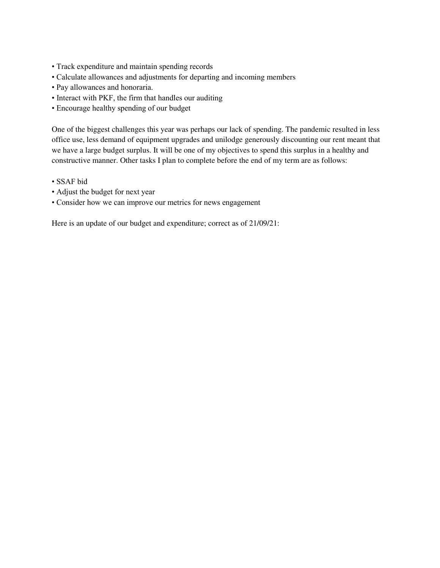- Track expenditure and maintain spending records
- Calculate allowances and adjustments for departing and incoming members
- Pay allowances and honoraria.
- Interact with PKF, the firm that handles our auditing
- Encourage healthy spending of our budget

One of the biggest challenges this year was perhaps our lack of spending. The pandemic resulted in less office use, less demand of equipment upgrades and unilodge generously discounting our rent meant that we have a large budget surplus. It will be one of my objectives to spend this surplus in a healthy and constructive manner. Other tasks I plan to complete before the end of my term are as follows:

- SSAF bid
- Adjust the budget for next year
- Consider how we can improve our metrics for news engagement

Here is an update of our budget and expenditure; correct as of 21/09/21: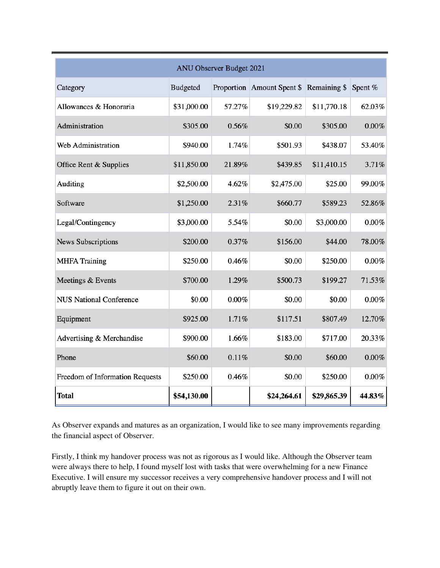| <b>ANU Observer Budget 2021</b> |                 |          |                                         |             |          |  |  |
|---------------------------------|-----------------|----------|-----------------------------------------|-------------|----------|--|--|
| Category                        | <b>Budgeted</b> |          | Proportion Amount Spent \$ Remaining \$ |             | Spent %  |  |  |
| Allowances & Honoraria          | \$31,000.00     | 57.27%   | \$19,229.82                             | \$11,770.18 | 62.03%   |  |  |
| Administration                  | \$305.00        | 0.56%    | \$0.00                                  | \$305.00    | $0.00\%$ |  |  |
| Web Administration              | \$940.00        | 1.74%    | \$501.93                                | \$438.07    | 53.40%   |  |  |
| Office Rent & Supplies          | \$11,850.00     | 21.89%   | \$439.85                                | \$11,410.15 | 3.71%    |  |  |
| Auditing                        | \$2,500.00      | 4.62%    | \$2,475.00                              | \$25.00     | 99.00%   |  |  |
| Software                        | \$1,250.00      | 2.31%    | \$660.77                                | \$589.23    | 52.86%   |  |  |
| Legal/Contingency               | \$3,000.00      | 5.54%    | \$0.00                                  | \$3,000.00  | 0.00%    |  |  |
| <b>News Subscriptions</b>       | \$200.00        | 0.37%    | \$156.00                                | \$44.00     | 78.00%   |  |  |
| <b>MHFA Training</b>            | \$250.00        | 0.46%    | \$0.00                                  | \$250.00    | $0.00\%$ |  |  |
| Meetings & Events               | \$700.00        | 1.29%    | \$500.73                                | \$199.27    | 71.53%   |  |  |
| <b>NUS National Conference</b>  | \$0.00          | $0.00\%$ | \$0.00                                  | \$0.00      | 0.00%    |  |  |
| Equipment                       | \$925.00        | 1.71%    | \$117.51                                | \$807.49    | 12.70%   |  |  |
| Advertising & Merchandise       | \$900.00        | 1.66%    | \$183.00                                | \$717.00    | 20.33%   |  |  |
| Phone                           | \$60.00         | 0.11%    | \$0.00                                  | \$60.00     | $0.00\%$ |  |  |
| Freedom of Information Requests | \$250.00        | 0.46%    | \$0.00                                  | \$250.00    | $0.00\%$ |  |  |
| <b>Total</b>                    | \$54,130.00     |          | \$24,264.61                             | \$29,865.39 | 44.83%   |  |  |

As Observer expands and matures as an organization, I would like to see many improvements regarding the financial aspect of Observer.

Firstly, I think my handover process was not as rigorous as I would like. Although the Observer team were always there to help, I found myself lost with tasks that were overwhelming for a new Finance Executive. I will ensure my successor receives a very comprehensive handover process and I will not abruptly leave them to figure it out on their own.